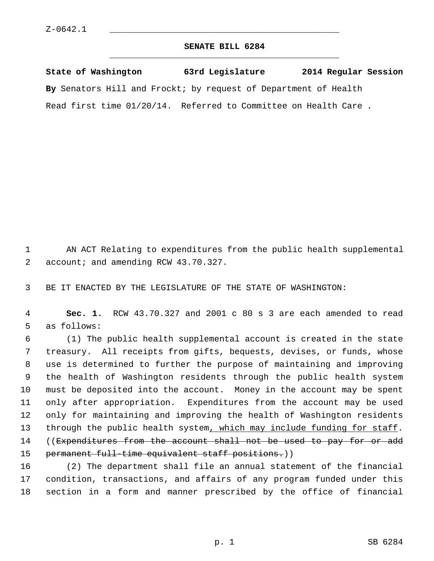## **SENATE BILL 6284** \_\_\_\_\_\_\_\_\_\_\_\_\_\_\_\_\_\_\_\_\_\_\_\_\_\_\_\_\_\_\_\_\_\_\_\_\_\_\_\_\_\_\_\_\_

**State of Washington 63rd Legislature 2014 Regular Session By** Senators Hill and Frockt; by request of Department of Health Read first time 01/20/14. Referred to Committee on Health Care .

 1 AN ACT Relating to expenditures from the public health supplemental 2 account; and amending RCW 43.70.327.

3 BE IT ENACTED BY THE LEGISLATURE OF THE STATE OF WASHINGTON:

 4 **Sec. 1.** RCW 43.70.327 and 2001 c 80 s 3 are each amended to read 5 as follows:

 6 (1) The public health supplemental account is created in the state 7 treasury. All receipts from gifts, bequests, devises, or funds, whose 8 use is determined to further the purpose of maintaining and improving 9 the health of Washington residents through the public health system 10 must be deposited into the account. Money in the account may be spent 11 only after appropriation. Expenditures from the account may be used 12 only for maintaining and improving the health of Washington residents 13 through the public health system, which may include funding for staff. 14 ((Expenditures from the account shall not be used to pay for or add 15 permanent full-time equivalent staff positions.))

16 (2) The department shall file an annual statement of the financial 17 condition, transactions, and affairs of any program funded under this 18 section in a form and manner prescribed by the office of financial